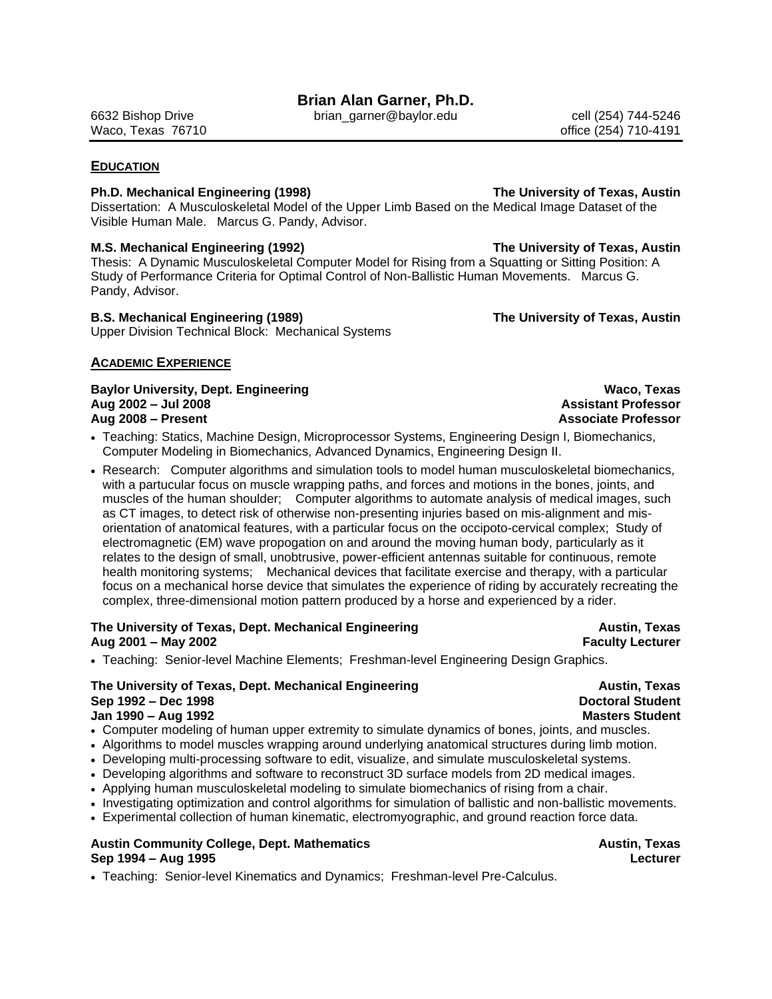6632 Bishop Drive brian\_garner@baylor.edu cell (254) 744-5246 Waco, Texas 76710 **big 1999 and 1999 and 1999 and 1999 and 1999 and 1999 and 1999 and 1999 and 1999 and 1999 and 19** 

# **EDUCATION**

# **Ph.D. Mechanical Engineering (1998) The University of Texas, Austin**

Dissertation: A Musculoskeletal Model of the Upper Limb Based on the Medical Image Dataset of the Visible Human Male. Marcus G. Pandy, Advisor.

# **M.S. Mechanical Engineering (1992) The University of Texas, Austin**

Thesis: A Dynamic Musculoskeletal Computer Model for Rising from a Squatting or Sitting Position: A Study of Performance Criteria for Optimal Control of Non-Ballistic Human Movements. Marcus G. Pandy, Advisor.

# **B.S. Mechanical Engineering (1989) The University of Texas, Austin**

Upper Division Technical Block: Mechanical Systems

# **ACADEMIC EXPERIENCE**

**Baylor University, Dept. Engineering Waco, Texas Aug 2002 – Jul 2008 Assistant Professor Aug 2008 – Present Associate Professor**

- Teaching: Statics, Machine Design, Microprocessor Systems, Engineering Design I, Biomechanics, Computer Modeling in Biomechanics, Advanced Dynamics, Engineering Design II.
- Research: Computer algorithms and simulation tools to model human musculoskeletal biomechanics, with a partucular focus on muscle wrapping paths, and forces and motions in the bones, joints, and muscles of the human shoulder; Computer algorithms to automate analysis of medical images, such as CT images, to detect risk of otherwise non-presenting injuries based on mis-alignment and misorientation of anatomical features, with a particular focus on the occipoto-cervical complex; Study of electromagnetic (EM) wave propogation on and around the moving human body, particularly as it relates to the design of small, unobtrusive, power-efficient antennas suitable for continuous, remote health monitoring systems; Mechanical devices that facilitate exercise and therapy, with a particular focus on a mechanical horse device that simulates the experience of riding by accurately recreating the complex, three-dimensional motion pattern produced by a horse and experienced by a rider.

# **The University of Texas, Dept. Mechanical Engineering Austin, Texas Aug 2001 – May 2002 Faculty Lecturer**

Teaching: Senior-level Machine Elements; Freshman-level Engineering Design Graphics.

### **The University of Texas, Dept. Mechanical Engineering Austin, Texas Sep 1992 – Dec 1998 Doctoral Student Jan 1990 – Aug 1992 Masters Student**

- Computer modeling of human upper extremity to simulate dynamics of bones, joints, and muscles.
- Algorithms to model muscles wrapping around underlying anatomical structures during limb motion.
- Developing multi-processing software to edit, visualize, and simulate musculoskeletal systems.
- Developing algorithms and software to reconstruct 3D surface models from 2D medical images.
- Applying human musculoskeletal modeling to simulate biomechanics of rising from a chair.
- Investigating optimization and control algorithms for simulation of ballistic and non-ballistic movements.
- Experimental collection of human kinematic, electromyographic, and ground reaction force data.

# Austin Community College, Dept. Mathematics **Austin**, Texas **Austin, Texas Sep 1994 – Aug 1995 Lecturer**

• Teaching: Senior-level Kinematics and Dynamics; Freshman-level Pre-Calculus.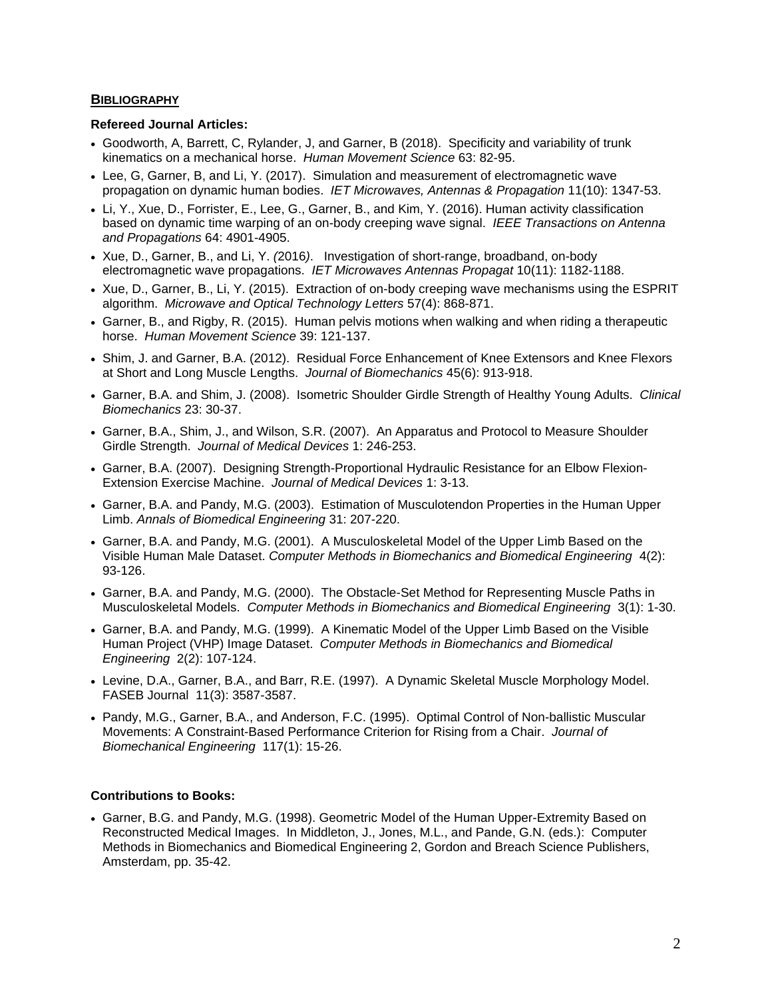# **BIBLIOGRAPHY**

# **Refereed Journal Articles:**

- Goodworth, A, Barrett, C, Rylander, J, and Garner, B (2018). Specificity and variability of trunk kinematics on a mechanical horse. *Human Movement Science* 63: 82-95.
- Lee, G, Garner, B, and Li, Y. (2017). Simulation and measurement of electromagnetic wave propagation on dynamic human bodies. *IET Microwaves, Antennas & Propagation* 11(10): 1347-53.
- Li, Y., Xue, D., Forrister, E., Lee, G., Garner, B., and Kim, Y. (2016). Human activity classification based on dynamic time warping of an on-body creeping wave signal. *IEEE Transactions on Antenna and Propagations* 64: 4901-4905.
- Xue, D., Garner, B., and Li, Y. *(*2016*)*. Investigation of short-range, broadband, on-body electromagnetic wave propagations. *IET Microwaves Antennas Propagat* 10(11): 1182-1188.
- Xue, D., Garner, B., Li, Y. (2015). Extraction of on-body creeping wave mechanisms using the ESPRIT algorithm. *Microwave and Optical Technology Letters* 57(4): 868-871.
- Garner, B., and Rigby, R. (2015). Human pelvis motions when walking and when riding a therapeutic horse. *Human Movement Science* 39: 121-137.
- Shim, J. and Garner, B.A. (2012). Residual Force Enhancement of Knee Extensors and Knee Flexors at Short and Long Muscle Lengths. *Journal of Biomechanics* 45(6): 913-918.
- Garner, B.A. and Shim, J. (2008). Isometric Shoulder Girdle Strength of Healthy Young Adults. *Clinical Biomechanics* 23: 30-37.
- Garner, B.A., Shim, J., and Wilson, S.R. (2007). An Apparatus and Protocol to Measure Shoulder Girdle Strength. *Journal of Medical Devices* 1: 246-253.
- Garner, B.A. (2007). Designing Strength-Proportional Hydraulic Resistance for an Elbow Flexion-Extension Exercise Machine. *Journal of Medical Devices* 1: 3-13.
- Garner, B.A. and Pandy, M.G. (2003). Estimation of Musculotendon Properties in the Human Upper Limb. *Annals of Biomedical Engineering* 31: 207-220.
- Garner, B.A. and Pandy, M.G. (2001). A Musculoskeletal Model of the Upper Limb Based on the Visible Human Male Dataset. *Computer Methods in Biomechanics and Biomedical Engineering* 4(2): 93-126.
- Garner, B.A. and Pandy, M.G. (2000). The Obstacle-Set Method for Representing Muscle Paths in Musculoskeletal Models. *Computer Methods in Biomechanics and Biomedical Engineering* 3(1): 1-30.
- Garner, B.A. and Pandy, M.G. (1999). A Kinematic Model of the Upper Limb Based on the Visible Human Project (VHP) Image Dataset. *Computer Methods in Biomechanics and Biomedical Engineering* 2(2): 107-124.
- Levine, D.A., Garner, B.A., and Barr, R.E. (1997). A Dynamic Skeletal Muscle Morphology Model. FASEB Journal 11(3): 3587-3587.
- Pandy, M.G., Garner, B.A., and Anderson, F.C. (1995). Optimal Control of Non-ballistic Muscular Movements: A Constraint-Based Performance Criterion for Rising from a Chair. *Journal of Biomechanical Engineering* 117(1): 15-26.

# **Contributions to Books:**

 Garner, B.G. and Pandy, M.G. (1998). Geometric Model of the Human Upper-Extremity Based on Reconstructed Medical Images. In Middleton, J., Jones, M.L., and Pande, G.N. (eds.): Computer Methods in Biomechanics and Biomedical Engineering 2, Gordon and Breach Science Publishers, Amsterdam, pp. 35-42.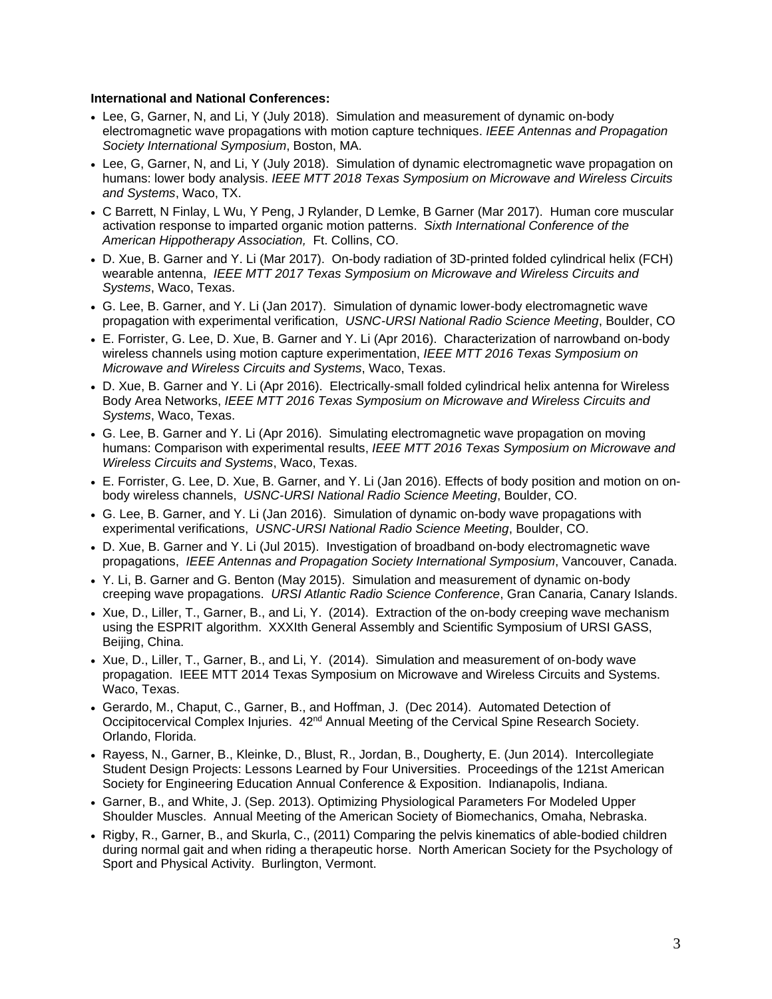## **International and National Conferences:**

- Lee, G, Garner, N, and Li, Y (July 2018). Simulation and measurement of dynamic on-body electromagnetic wave propagations with motion capture techniques. *IEEE Antennas and Propagation Society International Symposium*, Boston, MA.
- Lee, G, Garner, N, and Li, Y (July 2018). Simulation of dynamic electromagnetic wave propagation on humans: lower body analysis. *IEEE MTT 2018 Texas Symposium on Microwave and Wireless Circuits and Systems*, Waco, TX.
- C Barrett, N Finlay, L Wu, Y Peng, J Rylander, D Lemke, B Garner (Mar 2017). Human core muscular activation response to imparted organic motion patterns. *Sixth International Conference of the American Hippotherapy Association,* Ft. Collins, CO.
- D. Xue, B. Garner and Y. Li (Mar 2017). On-body radiation of 3D-printed folded cylindrical helix (FCH) wearable antenna, *IEEE MTT 2017 Texas Symposium on Microwave and Wireless Circuits and Systems*, Waco, Texas.
- G. Lee, B. Garner, and Y. Li (Jan 2017). Simulation of dynamic lower-body electromagnetic wave propagation with experimental verification, *USNC-URSI National Radio Science Meeting*, Boulder, CO
- E. Forrister, G. Lee, D. Xue, B. Garner and Y. Li (Apr 2016). Characterization of narrowband on-body wireless channels using motion capture experimentation, *IEEE MTT 2016 Texas Symposium on Microwave and Wireless Circuits and Systems*, Waco, Texas.
- D. Xue, B. Garner and Y. Li (Apr 2016). Electrically-small folded cylindrical helix antenna for Wireless Body Area Networks, *IEEE MTT 2016 Texas Symposium on Microwave and Wireless Circuits and Systems*, Waco, Texas.
- G. Lee, B. Garner and Y. Li (Apr 2016). Simulating electromagnetic wave propagation on moving humans: Comparison with experimental results, *IEEE MTT 2016 Texas Symposium on Microwave and Wireless Circuits and Systems*, Waco, Texas.
- E. Forrister, G. Lee, D. Xue, B. Garner, and Y. Li (Jan 2016). Effects of body position and motion on onbody wireless channels, *USNC-URSI National Radio Science Meeting*, Boulder, CO.
- G. Lee, B. Garner, and Y. Li (Jan 2016). Simulation of dynamic on-body wave propagations with experimental verifications, *USNC-URSI National Radio Science Meeting*, Boulder, CO.
- D. Xue, B. Garner and Y. Li (Jul 2015). Investigation of broadband on-body electromagnetic wave propagations, *IEEE Antennas and Propagation Society International Symposium*, Vancouver, Canada.
- Y. Li, B. Garner and G. Benton (May 2015). Simulation and measurement of dynamic on-body creeping wave propagations. *URSI Atlantic Radio Science Conference*, Gran Canaria, Canary Islands.
- Xue, D., Liller, T., Garner, B., and Li, Y. (2014). Extraction of the on-body creeping wave mechanism using the ESPRIT algorithm. XXXIth General Assembly and Scientific Symposium of URSI GASS, Beijing, China.
- Xue, D., Liller, T., Garner, B., and Li, Y. (2014). Simulation and measurement of on-body wave propagation. IEEE MTT 2014 Texas Symposium on Microwave and Wireless Circuits and Systems. Waco, Texas.
- Gerardo, M., Chaput, C., Garner, B., and Hoffman, J. (Dec 2014). Automated Detection of Occipitocervical Complex Injuries. 42<sup>nd</sup> Annual Meeting of the Cervical Spine Research Society. Orlando, Florida.
- Rayess, N., Garner, B., Kleinke, D., Blust, R., Jordan, B., Dougherty, E. (Jun 2014). Intercollegiate Student Design Projects: Lessons Learned by Four Universities. Proceedings of the 121st American Society for Engineering Education Annual Conference & Exposition. Indianapolis, Indiana.
- Garner, B., and White, J. (Sep. 2013). Optimizing Physiological Parameters For Modeled Upper Shoulder Muscles. Annual Meeting of the American Society of Biomechanics, Omaha, Nebraska.
- Rigby, R., Garner, B., and Skurla, C., (2011) Comparing the pelvis kinematics of able-bodied children during normal gait and when riding a therapeutic horse. North American Society for the Psychology of Sport and Physical Activity. Burlington, Vermont.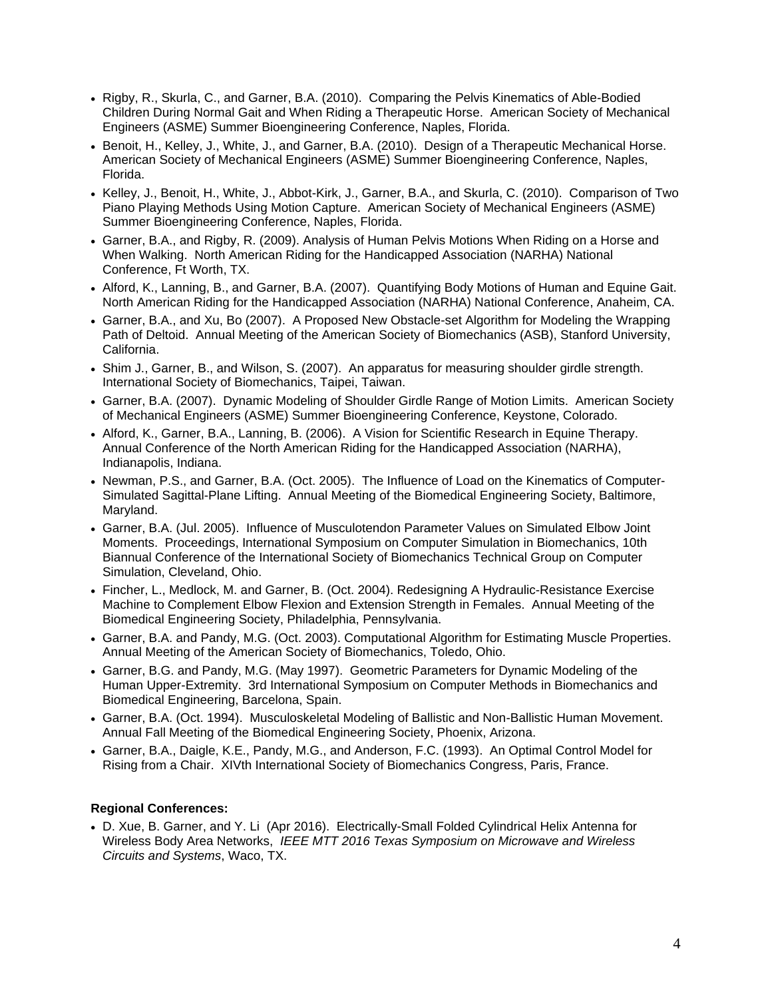- Rigby, R., Skurla, C., and Garner, B.A. (2010). Comparing the Pelvis Kinematics of Able-Bodied Children During Normal Gait and When Riding a Therapeutic Horse. American Society of Mechanical Engineers (ASME) Summer Bioengineering Conference, Naples, Florida.
- Benoit, H., Kelley, J., White, J., and Garner, B.A. (2010). Design of a Therapeutic Mechanical Horse. American Society of Mechanical Engineers (ASME) Summer Bioengineering Conference, Naples, Florida.
- Kelley, J., Benoit, H., White, J., Abbot-Kirk, J., Garner, B.A., and Skurla, C. (2010). Comparison of Two Piano Playing Methods Using Motion Capture. American Society of Mechanical Engineers (ASME) Summer Bioengineering Conference, Naples, Florida.
- Garner, B.A., and Rigby, R. (2009). Analysis of Human Pelvis Motions When Riding on a Horse and When Walking. North American Riding for the Handicapped Association (NARHA) National Conference, Ft Worth, TX.
- Alford, K., Lanning, B., and Garner, B.A. (2007). Quantifying Body Motions of Human and Equine Gait. North American Riding for the Handicapped Association (NARHA) National Conference, Anaheim, CA.
- Garner, B.A., and Xu, Bo (2007). A Proposed New Obstacle-set Algorithm for Modeling the Wrapping Path of Deltoid. Annual Meeting of the American Society of Biomechanics (ASB), Stanford University, California.
- Shim J., Garner, B., and Wilson, S. (2007). An apparatus for measuring shoulder girdle strength. International Society of Biomechanics, Taipei, Taiwan.
- Garner, B.A. (2007). Dynamic Modeling of Shoulder Girdle Range of Motion Limits. American Society of Mechanical Engineers (ASME) Summer Bioengineering Conference, Keystone, Colorado.
- Alford, K., Garner, B.A., Lanning, B. (2006). A Vision for Scientific Research in Equine Therapy. Annual Conference of the North American Riding for the Handicapped Association (NARHA), Indianapolis, Indiana.
- Newman, P.S., and Garner, B.A. (Oct. 2005). The Influence of Load on the Kinematics of Computer-Simulated Sagittal-Plane Lifting. Annual Meeting of the Biomedical Engineering Society, Baltimore, Maryland.
- Garner, B.A. (Jul. 2005). Influence of Musculotendon Parameter Values on Simulated Elbow Joint Moments. Proceedings, International Symposium on Computer Simulation in Biomechanics, 10th Biannual Conference of the International Society of Biomechanics Technical Group on Computer Simulation, Cleveland, Ohio.
- Fincher, L., Medlock, M. and Garner, B. (Oct. 2004). Redesigning A Hydraulic-Resistance Exercise Machine to Complement Elbow Flexion and Extension Strength in Females. Annual Meeting of the Biomedical Engineering Society, Philadelphia, Pennsylvania.
- Garner, B.A. and Pandy, M.G. (Oct. 2003). Computational Algorithm for Estimating Muscle Properties. Annual Meeting of the American Society of Biomechanics, Toledo, Ohio.
- Garner, B.G. and Pandy, M.G. (May 1997). Geometric Parameters for Dynamic Modeling of the Human Upper-Extremity. 3rd International Symposium on Computer Methods in Biomechanics and Biomedical Engineering, Barcelona, Spain.
- Garner, B.A. (Oct. 1994). Musculoskeletal Modeling of Ballistic and Non-Ballistic Human Movement. Annual Fall Meeting of the Biomedical Engineering Society, Phoenix, Arizona.
- Garner, B.A., Daigle, K.E., Pandy, M.G., and Anderson, F.C. (1993). An Optimal Control Model for Rising from a Chair. XIVth International Society of Biomechanics Congress, Paris, France.

# **Regional Conferences:**

 D. Xue, B. Garner, and Y. Li (Apr 2016). Electrically-Small Folded Cylindrical Helix Antenna for Wireless Body Area Networks, *IEEE MTT 2016 Texas Symposium on Microwave and Wireless Circuits and Systems*, Waco, TX.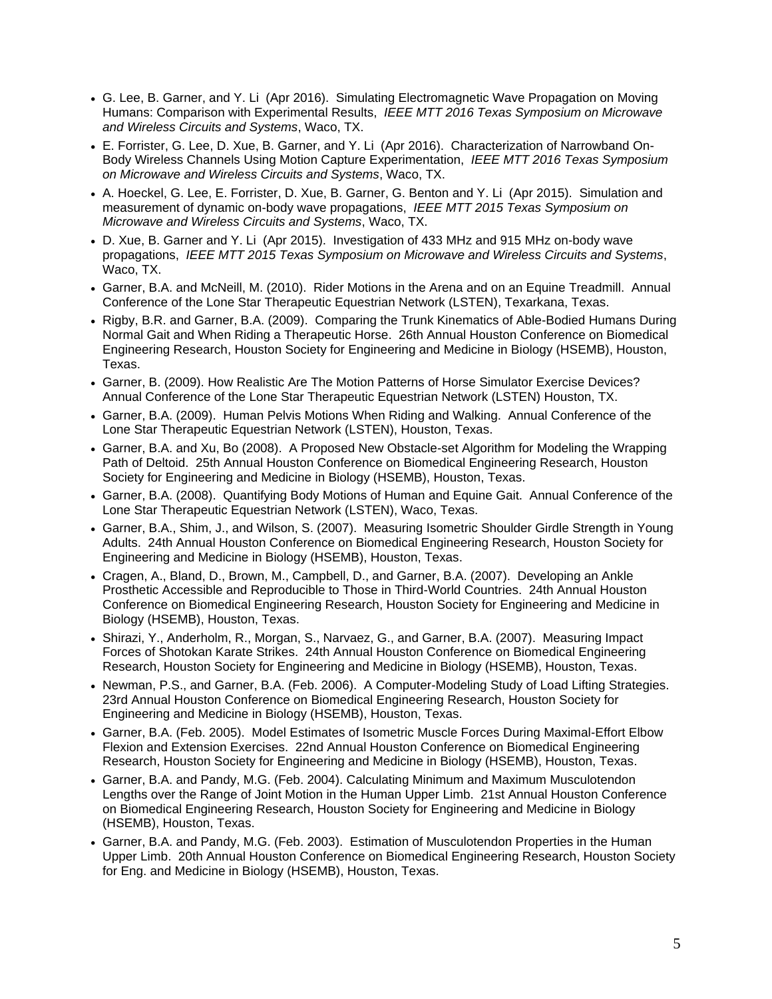- G. Lee, B. Garner, and Y. Li (Apr 2016). Simulating Electromagnetic Wave Propagation on Moving Humans: Comparison with Experimental Results, *IEEE MTT 2016 Texas Symposium on Microwave and Wireless Circuits and Systems*, Waco, TX.
- E. Forrister, G. Lee, D. Xue, B. Garner, and Y. Li (Apr 2016). Characterization of Narrowband On-Body Wireless Channels Using Motion Capture Experimentation, *IEEE MTT 2016 Texas Symposium on Microwave and Wireless Circuits and Systems*, Waco, TX.
- A. Hoeckel, G. Lee, E. Forrister, D. Xue, B. Garner, G. Benton and Y. Li (Apr 2015). Simulation and measurement of dynamic on-body wave propagations, *IEEE MTT 2015 Texas Symposium on Microwave and Wireless Circuits and Systems*, Waco, TX.
- D. Xue, B. Garner and Y. Li (Apr 2015). Investigation of 433 MHz and 915 MHz on-body wave propagations, *IEEE MTT 2015 Texas Symposium on Microwave and Wireless Circuits and Systems*, Waco, TX.
- Garner, B.A. and McNeill, M. (2010). Rider Motions in the Arena and on an Equine Treadmill. Annual Conference of the Lone Star Therapeutic Equestrian Network (LSTEN), Texarkana, Texas.
- Rigby, B.R. and Garner, B.A. (2009). Comparing the Trunk Kinematics of Able-Bodied Humans During Normal Gait and When Riding a Therapeutic Horse. 26th Annual Houston Conference on Biomedical Engineering Research, Houston Society for Engineering and Medicine in Biology (HSEMB), Houston, Texas.
- Garner, B. (2009). How Realistic Are The Motion Patterns of Horse Simulator Exercise Devices? Annual Conference of the Lone Star Therapeutic Equestrian Network (LSTEN) Houston, TX.
- Garner, B.A. (2009). Human Pelvis Motions When Riding and Walking. Annual Conference of the Lone Star Therapeutic Equestrian Network (LSTEN), Houston, Texas.
- Garner, B.A. and Xu, Bo (2008). A Proposed New Obstacle-set Algorithm for Modeling the Wrapping Path of Deltoid. 25th Annual Houston Conference on Biomedical Engineering Research, Houston Society for Engineering and Medicine in Biology (HSEMB), Houston, Texas.
- Garner, B.A. (2008). Quantifying Body Motions of Human and Equine Gait. Annual Conference of the Lone Star Therapeutic Equestrian Network (LSTEN), Waco, Texas.
- Garner, B.A., Shim, J., and Wilson, S. (2007). Measuring Isometric Shoulder Girdle Strength in Young Adults. 24th Annual Houston Conference on Biomedical Engineering Research, Houston Society for Engineering and Medicine in Biology (HSEMB), Houston, Texas.
- Cragen, A., Bland, D., Brown, M., Campbell, D., and Garner, B.A. (2007). Developing an Ankle Prosthetic Accessible and Reproducible to Those in Third-World Countries. 24th Annual Houston Conference on Biomedical Engineering Research, Houston Society for Engineering and Medicine in Biology (HSEMB), Houston, Texas.
- Shirazi, Y., Anderholm, R., Morgan, S., Narvaez, G., and Garner, B.A. (2007). Measuring Impact Forces of Shotokan Karate Strikes. 24th Annual Houston Conference on Biomedical Engineering Research, Houston Society for Engineering and Medicine in Biology (HSEMB), Houston, Texas.
- Newman, P.S., and Garner, B.A. (Feb. 2006). A Computer-Modeling Study of Load Lifting Strategies. 23rd Annual Houston Conference on Biomedical Engineering Research, Houston Society for Engineering and Medicine in Biology (HSEMB), Houston, Texas.
- Garner, B.A. (Feb. 2005). Model Estimates of Isometric Muscle Forces During Maximal-Effort Elbow Flexion and Extension Exercises. 22nd Annual Houston Conference on Biomedical Engineering Research, Houston Society for Engineering and Medicine in Biology (HSEMB), Houston, Texas.
- Garner, B.A. and Pandy, M.G. (Feb. 2004). Calculating Minimum and Maximum Musculotendon Lengths over the Range of Joint Motion in the Human Upper Limb. 21st Annual Houston Conference on Biomedical Engineering Research, Houston Society for Engineering and Medicine in Biology (HSEMB), Houston, Texas.
- Garner, B.A. and Pandy, M.G. (Feb. 2003). Estimation of Musculotendon Properties in the Human Upper Limb. 20th Annual Houston Conference on Biomedical Engineering Research, Houston Society for Eng. and Medicine in Biology (HSEMB), Houston, Texas.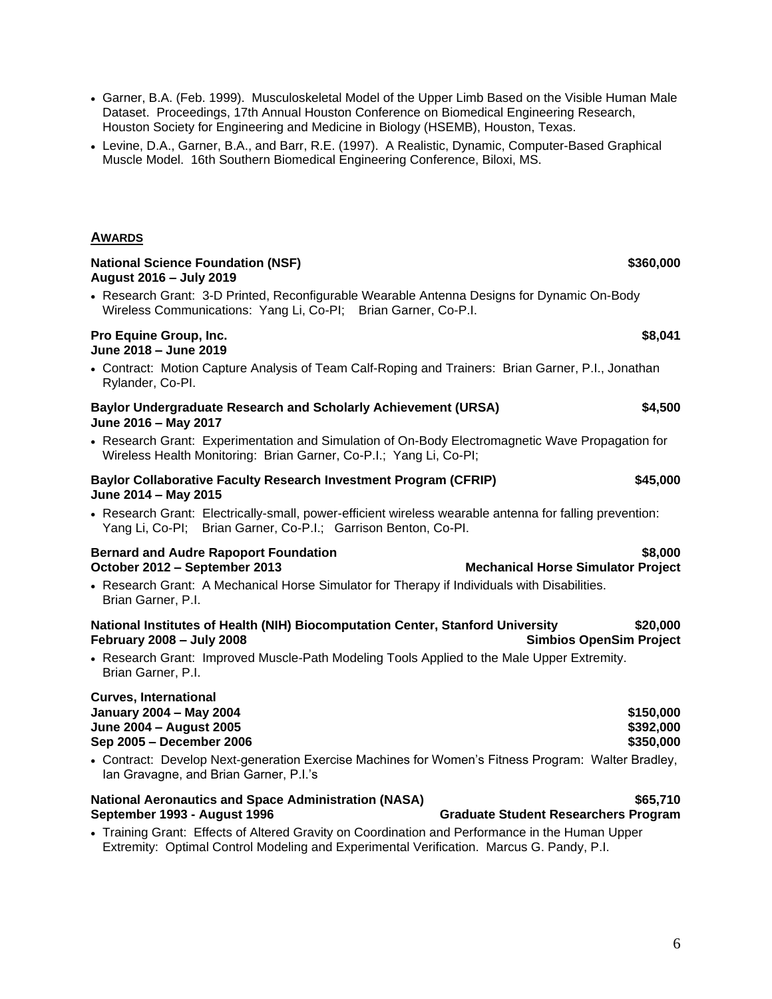- Levine, D.A., Garner, B.A., and Barr, R.E. (1997). A Realistic, Dynamic, Computer-Based Graphical Muscle Model. 16th Southern Biomedical Engineering Conference, Biloxi, MS. **AWARDS National Science Foundation (NSF) \$360,000 \$360,000 August 2016 – July 2019**
- Research Grant: 3-D Printed, Reconfigurable Wearable Antenna Designs for Dynamic On-Body Wireless Communications: Yang Li, Co-PI; Brian Garner, Co-P.I.

### **Pro Equine Group, Inc. \$8,041 June 2018 – June 2019**

 Contract: Motion Capture Analysis of Team Calf-Roping and Trainers: Brian Garner, P.I., Jonathan Rylander, Co-PI.

## **Baylor Undergraduate Research and Scholarly Achievement (URSA) \$4,500 June 2016 – May 2017**

 Research Grant: Experimentation and Simulation of On-Body Electromagnetic Wave Propagation for Wireless Health Monitoring: Brian Garner, Co-P.I.; Yang Li, Co-PI;

# **Baylor Collaborative Faculty Research Investment Program (CFRIP) \$45,000 June 2014 – May 2015**

 Research Grant: Electrically-small, power-efficient wireless wearable antenna for falling prevention: Yang Li, Co-PI; Brian Garner, Co-P.I.; Garrison Benton, Co-PI.

# **Bernard and Audre Rapoport Foundation 6.000 \$8,000 October 2012 – September 2013 Mechanical Horse Simulator Project**

 Research Grant: A Mechanical Horse Simulator for Therapy if Individuals with Disabilities. Brian Garner, P.I.

# **National Institutes of Health (NIH) Biocomputation Center, Stanford University \$20,000 February 2008 – July 2008 Simbios OpenSim Project**

 Research Grant: Improved Muscle-Path Modeling Tools Applied to the Male Upper Extremity. Brian Garner, P.I.

# **Curves, International January 2004 – May 2004 \$150,000 June 2004 – August 2005 \$392,000 Sep 2005 – December 2006 \$350,000**

 Contract: Develop Next-generation Exercise Machines for Women's Fitness Program: Walter Bradley, Ian Gravagne, and Brian Garner, P.I.'s

# **National Aeronautics and Space Administration (NASA) \$65,710 September 1993 - August 1996 Graduate Student Researchers Program**

 Training Grant: Effects of Altered Gravity on Coordination and Performance in the Human Upper Extremity: Optimal Control Modeling and Experimental Verification. Marcus G. Pandy, P.I.

 Garner, B.A. (Feb. 1999). Musculoskeletal Model of the Upper Limb Based on the Visible Human Male Dataset. Proceedings, 17th Annual Houston Conference on Biomedical Engineering Research, Houston Society for Engineering and Medicine in Biology (HSEMB), Houston, Texas.